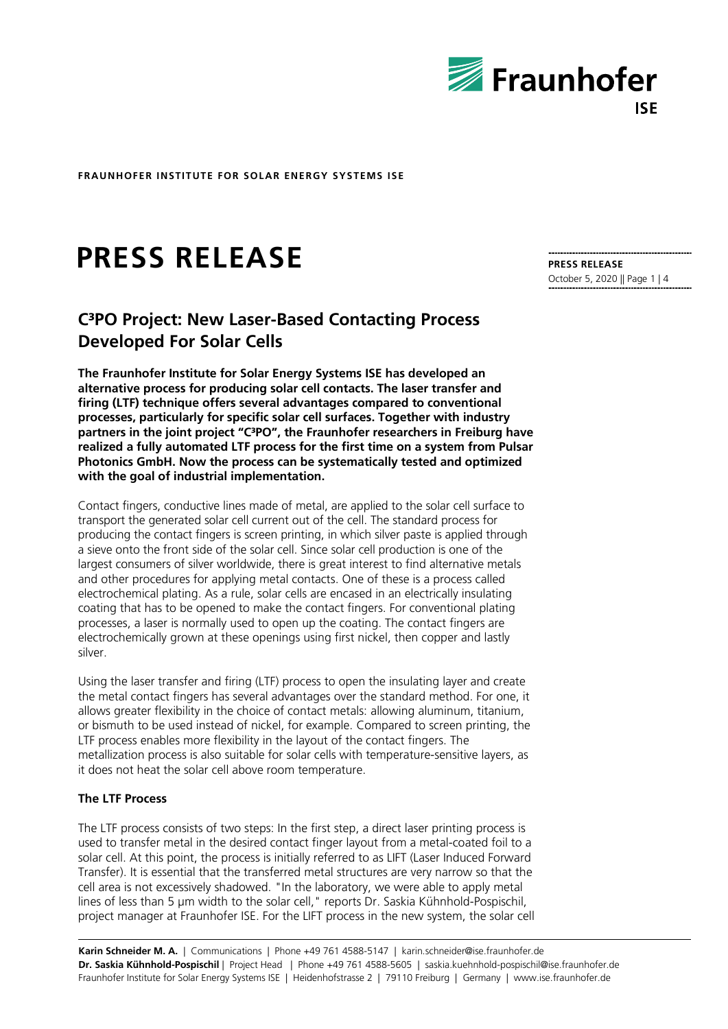

# **PRESS RELEASE**

# **C³PO Project: New Laser-Based Contacting Process Developed For Solar Cells**

**The Fraunhofer Institute for Solar Energy Systems ISE has developed an alternative process for producing solar cell contacts. The laser transfer and firing (LTF) technique offers several advantages compared to conventional processes, particularly for specific solar cell surfaces. Together with industry partners in the joint project "C³PO", the Fraunhofer researchers in Freiburg have realized a fully automated LTF process for the first time on a system from Pulsar Photonics GmbH. Now the process can be systematically tested and optimized with the goal of industrial implementation.**

Contact fingers, conductive lines made of metal, are applied to the solar cell surface to transport the generated solar cell current out of the cell. The standard process for producing the contact fingers is screen printing, in which silver paste is applied through a sieve onto the front side of the solar cell. Since solar cell production is one of the largest consumers of silver worldwide, there is great interest to find alternative metals and other procedures for applying metal contacts. One of these is a process called electrochemical plating. As a rule, solar cells are encased in an electrically insulating coating that has to be opened to make the contact fingers. For conventional plating processes, a laser is normally used to open up the coating. The contact fingers are electrochemically grown at these openings using first nickel, then copper and lastly silver.

Using the laser transfer and firing (LTF) process to open the insulating layer and create the metal contact fingers has several advantages over the standard method. For one, it allows greater flexibility in the choice of contact metals: allowing aluminum, titanium, or bismuth to be used instead of nickel, for example. Compared to screen printing, the LTF process enables more flexibility in the layout of the contact fingers. The metallization process is also suitable for solar cells with temperature-sensitive layers, as it does not heat the solar cell above room temperature.

## **The LTF Process**

The LTF process consists of two steps: In the first step, a direct laser printing process is used to transfer metal in the desired contact finger layout from a metal-coated foil to a solar cell. At this point, the process is initially referred to as LIFT (Laser Induced Forward Transfer). It is essential that the transferred metal structures are very narrow so that the cell area is not excessively shadowed. "In the laboratory, we were able to apply metal lines of less than 5 µm width to the solar cell," reports Dr. Saskia Kühnhold-Pospischil, project manager at Fraunhofer ISE. For the LIFT process in the new system, the solar cell

**Karin Schneider M. A.** | Communications | Phone +49 761 4588-5147 | karin.schneider@ise.fraunhofer.de **Dr. Saskia Kühnhold-Pospischil** | Project Head | Phone +49 761 4588-5605 | saskia.kuehnhold-pospischil@ise.fraunhofer.de Fraunhofer Institute for Solar Energy Systems ISE | Heidenhofstrasse 2 | 79110 Freiburg | Germany | www.ise.fraunhofer.de

**PRESS RELEASE** October 5, 2020 || Page 1 | 4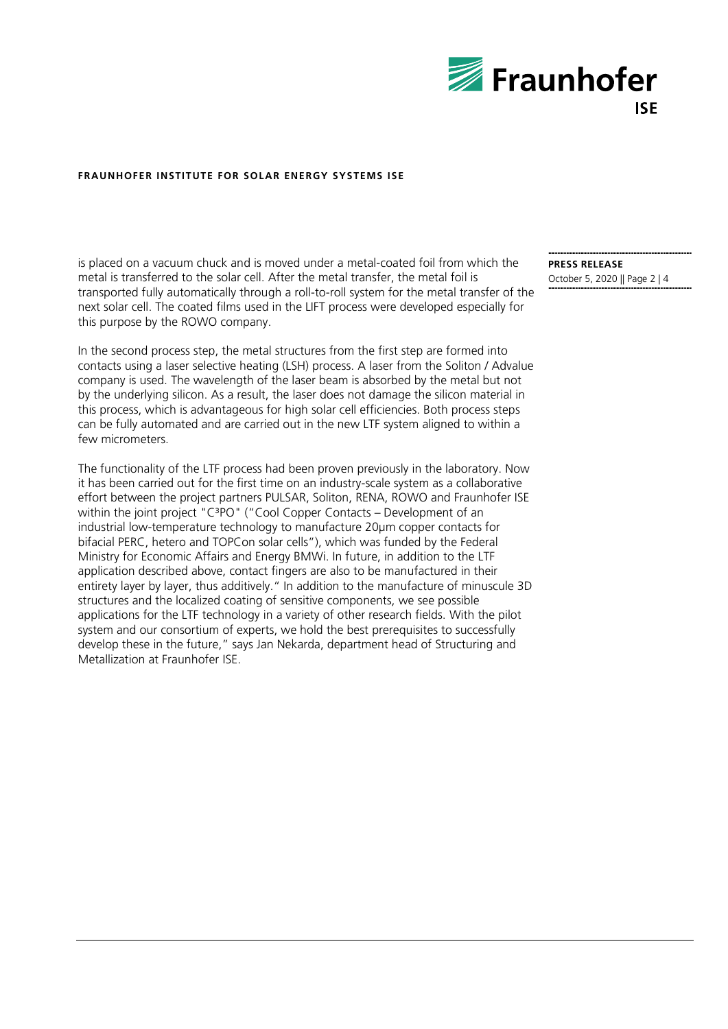

is placed on a vacuum chuck and is moved under a metal-coated foil from which the metal is transferred to the solar cell. After the metal transfer, the metal foil is transported fully automatically through a roll-to-roll system for the metal transfer of the next solar cell. The coated films used in the LIFT process were developed especially for this purpose by the ROWO company.

In the second process step, the metal structures from the first step are formed into contacts using a laser selective heating (LSH) process. A laser from the Soliton / Advalue company is used. The wavelength of the laser beam is absorbed by the metal but not by the underlying silicon. As a result, the laser does not damage the silicon material in this process, which is advantageous for high solar cell efficiencies. Both process steps can be fully automated and are carried out in the new LTF system aligned to within a few micrometers.

The functionality of the LTF process had been proven previously in the laboratory. Now it has been carried out for the first time on an industry-scale system as a collaborative effort between the project partners PULSAR, Soliton, RENA, ROWO and Fraunhofer ISE within the joint project "C<sup>3</sup>PO" ("Cool Copper Contacts – Development of an industrial low-temperature technology to manufacture 20µm copper contacts for bifacial PERC, hetero and TOPCon solar cells"), which was funded by the Federal Ministry for Economic Affairs and Energy BMWi. In future, in addition to the LTF application described above, contact fingers are also to be manufactured in their entirety layer by layer, thus additively." In addition to the manufacture of minuscule 3D structures and the localized coating of sensitive components, we see possible applications for the LTF technology in a variety of other research fields. With the pilot system and our consortium of experts, we hold the best prerequisites to successfully develop these in the future," says Jan Nekarda, department head of Structuring and Metallization at Fraunhofer ISE.

**PRESS RELEASE** October 5, 2020 || Page 2 | 4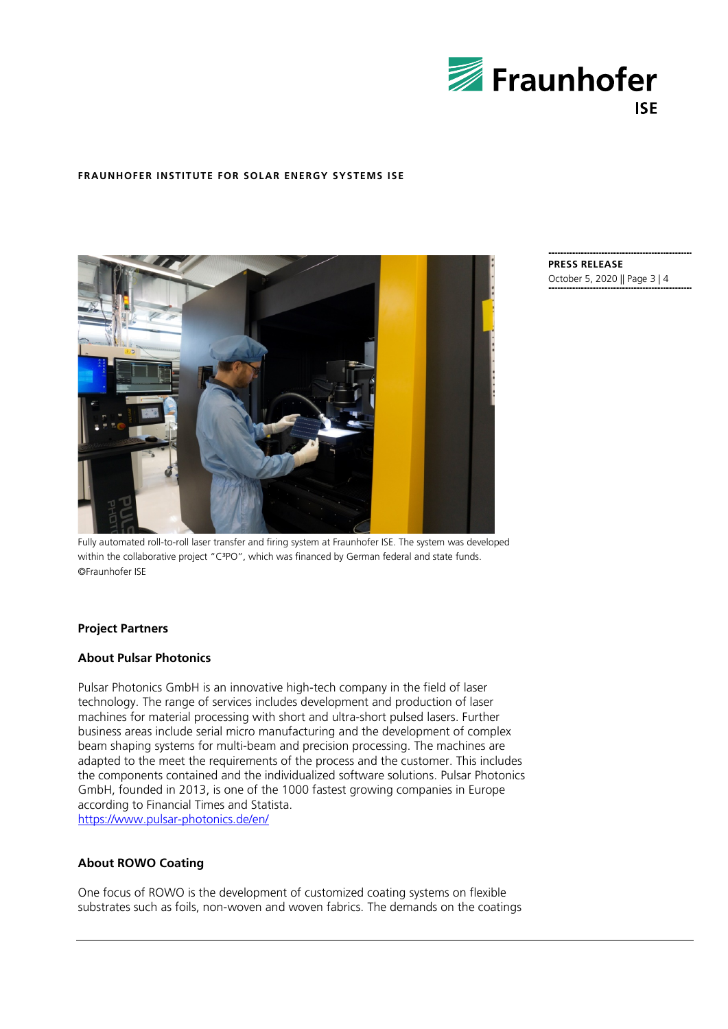



**PRESS RELEASE** October 5, 2020 || Page 3 | 4

Fully automated roll-to-roll laser transfer and firing system at Fraunhofer ISE. The system was developed within the collaborative project "C<sup>3</sup>PO", which was financed by German federal and state funds. ©Fraunhofer ISE

### **Project Partners**

### **About Pulsar Photonics**

Pulsar Photonics GmbH is an innovative high-tech company in the field of laser technology. The range of services includes development and production of laser machines for material processing with short and ultra-short pulsed lasers. Further business areas include serial micro manufacturing and the development of complex beam shaping systems for multi-beam and precision processing. The machines are adapted to the meet the requirements of the process and the customer. This includes the components contained and the individualized software solutions. Pulsar Photonics GmbH, founded in 2013, is one of the 1000 fastest growing companies in Europe according to Financial Times and Statista. <https://www.pulsar-photonics.de/en/>

### **About ROWO Coating**

One focus of ROWO is the development of customized coating systems on flexible substrates such as foils, non-woven and woven fabrics. The demands on the coatings